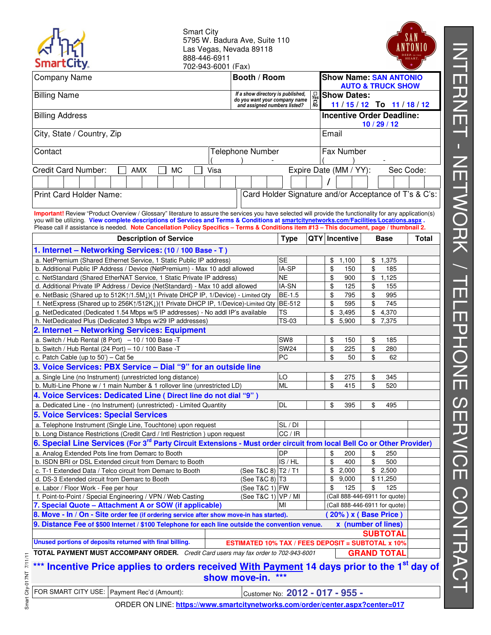| <b>SmartCity.</b>                                                                                                                                                                                                                                                                      | <b>Smart City</b><br>5795 W. Badura Ave, Suite 110<br>Las Vegas, Nevada 89118<br>888-446-6911<br>702-943-6001 (Fax) |  |                                                                    |                                     |                              |                                  |  |                                                          |       |
|----------------------------------------------------------------------------------------------------------------------------------------------------------------------------------------------------------------------------------------------------------------------------------------|---------------------------------------------------------------------------------------------------------------------|--|--------------------------------------------------------------------|-------------------------------------|------------------------------|----------------------------------|--|----------------------------------------------------------|-------|
| <b>Company Name</b><br>Booth / Room                                                                                                                                                                                                                                                    |                                                                                                                     |  | <b>Show Name: SAN ANTONIO</b>                                      |                                     |                              |                                  |  |                                                          |       |
| <b>Billing Name</b>                                                                                                                                                                                                                                                                    |                                                                                                                     |  | If a show directory is published,<br>do you want your company name |                                     | $\frac{1}{\gamma_{es}}$<br>品 | <b>Show Dates:</b>               |  | <b>AUTO &amp; TRUCK SHOW</b><br>$11/15/12$ To $11/18/12$ |       |
| and assigned numbers listed?<br><b>Billing Address</b>                                                                                                                                                                                                                                 |                                                                                                                     |  |                                                                    |                                     |                              | <b>Incentive Order Deadline:</b> |  |                                                          |       |
| 10/29/12<br>City, State / Country, Zip<br>Email                                                                                                                                                                                                                                        |                                                                                                                     |  |                                                                    |                                     |                              |                                  |  |                                                          |       |
| Contact<br>Telephone Number                                                                                                                                                                                                                                                            |                                                                                                                     |  |                                                                    | Fax Number                          |                              |                                  |  |                                                          |       |
| <b>Credit Card Number:</b><br>AMX<br><b>MC</b><br>Visa                                                                                                                                                                                                                                 |                                                                                                                     |  |                                                                    | Expire Date (MM / YY):<br>Sec Code: |                              |                                  |  |                                                          |       |
|                                                                                                                                                                                                                                                                                        |                                                                                                                     |  |                                                                    |                                     |                              |                                  |  |                                                          |       |
| Print Card Holder Name:                                                                                                                                                                                                                                                                |                                                                                                                     |  | Card Holder Signature and/or Acceptance of T's & C's:              |                                     |                              |                                  |  |                                                          |       |
|                                                                                                                                                                                                                                                                                        |                                                                                                                     |  |                                                                    |                                     |                              |                                  |  |                                                          |       |
| Important! Review "Product Overview / Glossary" literature to assure the services you have selected will provide the functionality for any application(s)                                                                                                                              |                                                                                                                     |  |                                                                    |                                     |                              |                                  |  |                                                          |       |
| you will be utilizing. View complete descriptions of Services and Terms & Conditions at smartcitynetworks.com/Facilities/Locations.aspx.<br>Please call if assistance is needed. Note Cancellation Policy Specifics - Terms & Conditions item #13 - This document, page / thumbnail 2. |                                                                                                                     |  |                                                                    |                                     |                              |                                  |  |                                                          |       |
| <b>Description of Service</b>                                                                                                                                                                                                                                                          |                                                                                                                     |  |                                                                    | <b>Type</b>                         |                              | QTY   Incentive                  |  | <b>Base</b>                                              | Total |
| 1. Internet – Networking Services: (10 / 100 Base - T)                                                                                                                                                                                                                                 |                                                                                                                     |  |                                                                    |                                     |                              |                                  |  |                                                          |       |
| a. NetPremium (Shared Ethernet Service, 1 Static Public IP address)                                                                                                                                                                                                                    |                                                                                                                     |  |                                                                    | <b>SE</b>                           |                              | \$<br>1,100                      |  | 1,375<br>\$                                              |       |
| b. Additional Public IP Address / Device (NetPremium) - Max 10 addl allowed                                                                                                                                                                                                            |                                                                                                                     |  |                                                                    | IA-SP                               |                              | \$<br>150                        |  | \$<br>185                                                |       |
| c. NetStandard (Shared EtherNAT Service, 1 Static Private IP address)                                                                                                                                                                                                                  |                                                                                                                     |  |                                                                    | <b>NE</b>                           |                              | \$<br>900                        |  | \$1,125                                                  |       |
| d. Additional Private IP Address / Device (NetStandard) - Max 10 addl allowed                                                                                                                                                                                                          |                                                                                                                     |  |                                                                    | IA-SN                               |                              | \$<br>125                        |  | \$<br>155                                                |       |
| e. NetBasic (Shared up to 512K $\uparrow$ /1.5M $\downarrow$ )(1 Private DHCP IP, 1/Device) - Limited Qty                                                                                                                                                                              |                                                                                                                     |  |                                                                    | BE-1.5                              |                              | \$<br>795                        |  | \$<br>995                                                |       |
| f. NetExpress (Shared up to 256K1/512K1)(1 Private DHCP IP, 1/Device)-Limited Qty   BE-512                                                                                                                                                                                             |                                                                                                                     |  |                                                                    |                                     |                              | \$<br>595                        |  | \$<br>745                                                |       |
| g. NetDedicated (Dedicated 1.54 Mbps w/5 IP addresses) - No addl IP's available                                                                                                                                                                                                        |                                                                                                                     |  |                                                                    | TS                                  |                              | \$<br>3,495                      |  | \$4,370                                                  |       |
| h. NetDedicated Plus (Dedicated 3 Mbps w/29 IP addresses)                                                                                                                                                                                                                              |                                                                                                                     |  |                                                                    | <b>TS-03</b>                        |                              | \$<br>5,900                      |  | \$7,375                                                  |       |
| 2. Internet - Networking Services: Equipment                                                                                                                                                                                                                                           |                                                                                                                     |  |                                                                    |                                     |                              |                                  |  |                                                          |       |
| a. Switch / Hub Rental (8 Port) $-10$ / 100 Base -T                                                                                                                                                                                                                                    |                                                                                                                     |  |                                                                    | SW8                                 |                              | \$<br>150                        |  | \$<br>185                                                |       |
| b. Switch / Hub Rental (24 Port) $-10$ / 100 Base -T                                                                                                                                                                                                                                   |                                                                                                                     |  |                                                                    | <b>SW24</b>                         |                              | \$<br>225                        |  | \$<br>280                                                |       |
| c. Patch Cable (up to $50'$ ) – Cat 5e                                                                                                                                                                                                                                                 |                                                                                                                     |  |                                                                    | PC                                  |                              | \$<br>50                         |  | \$<br>62                                                 |       |
| 3. Voice Services: PBX Service - Dial "9" for an outside line                                                                                                                                                                                                                          |                                                                                                                     |  |                                                                    |                                     |                              |                                  |  |                                                          |       |
| a. Single Line (no Instrument) (unrestricted long distance)                                                                                                                                                                                                                            |                                                                                                                     |  |                                                                    | LO                                  |                              | \$<br>275                        |  | \$<br>345                                                |       |
| b. Multi-Line Phone w / 1 main Number & 1 rollover line (unrestricted LD)                                                                                                                                                                                                              |                                                                                                                     |  |                                                                    | <b>ML</b>                           |                              | \$<br>415                        |  | \$<br>520                                                |       |
| 4. Voice Services: Dedicated Line ( Direct line do not dial "9" )                                                                                                                                                                                                                      |                                                                                                                     |  |                                                                    |                                     |                              |                                  |  |                                                          |       |
| a. Dedicated Line - (no Instrument) (unrestricted) - Limited Quantity                                                                                                                                                                                                                  |                                                                                                                     |  |                                                                    | <b>DL</b>                           |                              | \$<br>395                        |  | \$<br>495                                                |       |
| <b>5. Voice Services: Special Services</b>                                                                                                                                                                                                                                             |                                                                                                                     |  |                                                                    |                                     |                              |                                  |  |                                                          |       |
| a. Telephone Instrument (Single Line, Touchtone) upon request                                                                                                                                                                                                                          |                                                                                                                     |  |                                                                    | SL/DI                               |                              |                                  |  |                                                          |       |
| b. Long Distance Restrictions (Credit Card / Intl Restriction ) upon request                                                                                                                                                                                                           |                                                                                                                     |  |                                                                    | CC/IR                               |                              |                                  |  |                                                          |       |
| 6. Special Line Services (For 3 <sup>rd</sup> Party Circuit Extensions - Must order circuit from local Bell Co or Other Provider)                                                                                                                                                      |                                                                                                                     |  |                                                                    |                                     |                              |                                  |  |                                                          |       |
| a. Analog Extended Pots line from Demarc to Booth                                                                                                                                                                                                                                      |                                                                                                                     |  |                                                                    | DP                                  |                              | \$<br>200                        |  | \$<br>250                                                |       |
| b. ISDN BRI or DSL Extended circuit from Demarc to Booth                                                                                                                                                                                                                               |                                                                                                                     |  |                                                                    | IS / HL                             |                              | \$<br>400                        |  | \$<br>500                                                |       |
| c. T-1 Extended Data / Telco circuit from Demarc to Booth                                                                                                                                                                                                                              |                                                                                                                     |  | (See T&C 8) T2 / T1                                                |                                     |                              | \$<br>2,000                      |  | \$2,500                                                  |       |
| d. DS-3 Extended circuit from Demarc to Booth                                                                                                                                                                                                                                          |                                                                                                                     |  | (See T&C 8) T3                                                     |                                     |                              | \$<br>9,000                      |  | \$11,250                                                 |       |
| e. Labor / Floor Work - Fee per hour                                                                                                                                                                                                                                                   |                                                                                                                     |  | (See T&C 1) FW                                                     |                                     |                              | \$<br>125                        |  | \$<br>125                                                |       |
| f. Point-to-Point / Special Engineering / VPN / Web Casting                                                                                                                                                                                                                            |                                                                                                                     |  | (See T&C 1) $ VP / MI$                                             |                                     |                              |                                  |  | (Call 888-446-6911 for quote)                            |       |
| 7. Special Quote - Attachment A or SOW (if applicable)<br>(Call 888-446-6911 for quote)<br>MI                                                                                                                                                                                          |                                                                                                                     |  |                                                                    |                                     |                              |                                  |  |                                                          |       |
| 8. Move - In / On - Site order fee (if ordering service after show move-in has started).<br>$20\%$ ) x (Base Price)                                                                                                                                                                    |                                                                                                                     |  |                                                                    |                                     |                              |                                  |  |                                                          |       |
| 9. Distance Fee of \$500 Internet / \$100 Telephone for each line outside the convention venue.<br>x (number of lines)                                                                                                                                                                 |                                                                                                                     |  |                                                                    |                                     |                              |                                  |  |                                                          |       |
| <b>SUBTOTAL</b>                                                                                                                                                                                                                                                                        |                                                                                                                     |  |                                                                    |                                     |                              |                                  |  |                                                          |       |
| Unused portions of deposits returned with final billing.<br><b>ESTIMATED 10% TAX / FEES DEPOSIT = SUBTOTAL x 10%</b>                                                                                                                                                                   |                                                                                                                     |  |                                                                    |                                     |                              |                                  |  |                                                          |       |
| TOTAL PAYMENT MUST ACCOMPANY ORDER. Credit Card users may fax order to 702-943-6001                                                                                                                                                                                                    |                                                                                                                     |  |                                                                    |                                     |                              |                                  |  | <b>GRAND TOTAL</b>                                       |       |
| *** Incentive Price applies to orders received With Payment 14 days prior to the 1 <sup>st</sup> day of<br>***<br>show move-in.                                                                                                                                                        |                                                                                                                     |  |                                                                    |                                     |                              |                                  |  |                                                          |       |
| FOR SMART CITY USE: Payment Rec'd (Amount):                                                                                                                                                                                                                                            |                                                                                                                     |  | Customer No: 2012 - 017 - 955 -                                    |                                     |                              |                                  |  |                                                          |       |
|                                                                                                                                                                                                                                                                                        |                                                                                                                     |  |                                                                    |                                     |                              |                                  |  |                                                          |       |

ORDER ON LINE: **https://www.smartcitynetworks.com/order/center.aspx?center=017**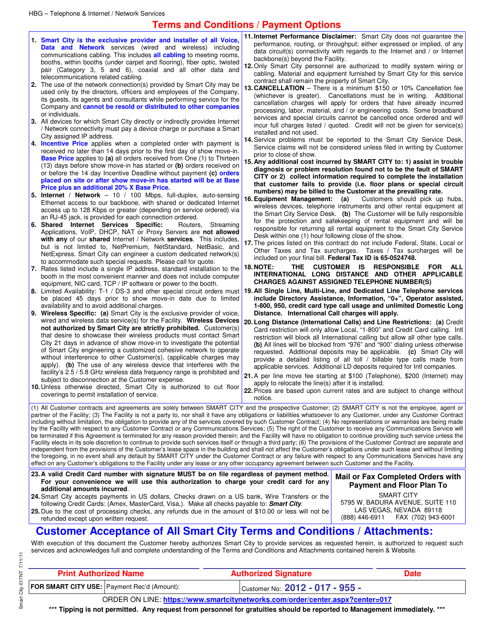- **1. Smart City is the exclusive provider and installer of all Voice, Data and Network** services (wired and wireless) including communications cabling. This includes **all cabling** to meeting rooms, booths, within booths (under carpet and flooring), fiber optic, twisted pair (Category 3, 5 and 6), coaxial and all other data and telecommunications related cabling.
- **2.** The use of the network connection(s) provided by Smart City may be used only by the directors, officers and employees of the Company, its guests, its agents and consultants while performing service for the Company and **cannot be resold or distributed to other companies** or individuals.
- **3.** All devices for which Smart City directly or indirectly provides Internet / Network connectivity must pay a device charge or purchase a Smart City assigned IP address.
- **4. Incentive Price** applies when a completed order with payment is received no later than 14 days prior to the first day of show move-in. **Base Price** applies to **(a)** all orders received from One (1) to Thirteen (13) days before show move-in has started or **(b)** orders received on or before the 14 day Incentive Deadline without payment **(c) orders placed on site or after show move-in has started will be at Base Price plus an additional 20% X Base Price.**
- **5. Internet / Network** 10 / 100 Mbps, full-duplex, auto-sensing Ethernet access to our backbone, with shared or dedicated Internet access up to 128 Kbps or greater (depending on service ordered) via an RJ-45 jack, is provided for each connection ordered.<br>**Shared Internet Services Specific:** Routers,
- **6. Shared Internet Services Specific:** Routers, Streaming Applications, VoIP, DHCP, NAT or Proxy Servers are **not allowed with any** of our **shared** Internet / Network **services**. This includes, but is not limited to, NetPremium, NetStandard, NetBasic, and NetExpress. Smart City can engineer a custom dedicated network(s) to accommodate such special requests. Please call for quote.
- **7.** Rates listed include a single IP address, standard installation to the booth in the most convenient manner and does not include computer equipment, NIC card, TCP / IP software or power to the booth.
- **8.** Limited Availability: T-1 / DS-3 and other special circuit orders must be placed 45 days prior to show move-in date due to limited availability and to avoid additional charges.
- **9. Wireless Specific: (a)** Smart City is the exclusive provider of voice, wired and wireless data service(s) for the Facility. **Wireless Devices not authorized by Smart City are strictly prohibited.** Customer(s) that desire to showcase their wireless products must contact Smart City 21 days in advance of show move-in to investigate the potential of Smart City engineering a customized cohesive network to operate without interference to other Customer(s), (applicable charges may apply). **(b)** The use of any wireless device that interferes with the facility's 2.5 / 5.8 GHz wireless data frequency range is prohibited and subject to disconnection at the Customer expense.
- **10.** Unless otherwise directed, Smart City is authorized to cut floor coverings to permit installation of service.

refunded except upon written request.

- **11. Internet Performance Disclaimer:** Smart City does not guarantee the performance, routing, or throughput; either expressed or implied, of any data circuit(s) connectivity with regards to the Internet and / or Internet backbone(s) beyond the Facility.
- **12.** Only Smart City personnel are authorized to modify system wiring or cabling. Material and equipment furnished by Smart City for this service contract shall remain the property of Smart City.
- **13. CANCELLATION**  There is a minimum \$150 or 10% Cancellation fee (whichever is greater). Cancellations must be in writing. Additional cancellation charges will apply for orders that have already incurred processing, labor, material, and / or engineering costs. Some broadband services and special circuits cannot be cancelled once ordered and will incur full charges listed / quoted. Credit will not be given for service(s) installed and not used.
- **14.** Service problems must be reported to the Smart City Service Desk. Service claims will not be considered unless filed in writing by Customer prior to close of show.
- **15. Any additional cost incurred by SMART CITY to: 1) assist in trouble diagnosis or problem resolution found not to be the fault of SMART CITY or 2) collect information required to complete the installation that customer fails to provide (i.e. floor plans or special circuit numbers) may be billed to the Customer at the prevailing rate.**
- **16. Equipment Management: (a)** Customers should pick up hubs, wireless devices, telephone instruments and other rental equipment at the Smart City Service Desk. **(b)** The Customer will be fully responsible for the protection and safekeeping of rental equipment and will be responsible for returning all rental equipment to the Smart City Service Desk within one (1) hour following close of the show.
- **17.** The prices listed on this contract do not include Federal, State, Local or Other Taxes and Tax surcharges. Taxes / Tax surcharges will be included on your final bill. **Federal Tax ID is 65-0524748.**
- **18. NOTE: THE CUSTOMER IS RESPONSIBLE FOR ALL INTERNATIONAL LONG DISTANCE AND OTHER APPLICABLE CHARGES AGAINST ASSIGNED TELEPHONE NUMBER(S)**
- **19. All Single Line, Multi-Line, and Dedicated Line Telephone services include Directory Assistance, Information, "0+", Operator assisted, 1-800, 950, credit card type call usage and unlimited Domestic Long Distance. International Call charges will apply.**
- **20. Long Distance (International Calls) and Line Restrictions: (a)** Credit Card restriction will only allow Local, "1-800" and Credit Card calling. Intl restriction will block all International calling but allow all other type calls. **(b)** All lines will be blocked from "976" and "900" dialing unless otherwise requested. Additional deposits may be applicable. **(c)** Smart City will provide a detailed listing of all toll / billable type calls made from applicable services. Additional LD deposits required for Intl companies.
- **21.** A per line move fee starting at \$100 (Telephone), \$200 (Internet) may apply to relocate the line(s) after it is installed.

**22.** Prices are based upon current rates and are subject to change without notice.

(1) All Customer contracts and agreements are solely between SMART CITY and the prospective Customer; (2) SMART CITY is not the employee, agent or partner of the Facility; (3) The Facility is not a party to, nor shall it have any obligations or liabilities whatsoever to any Customer, under any Customer Contract including without limitation, the obligation to provide any of the services covered by such Customer Contract; (4) No representations or warranties are being made by the Facility with respect to any Customer Contract or any Communications Services; (5) The right of the Customer to receive any Communications Service will be terminated if this Agreement is terminated for any reason provided therein; and the Facility will have no obligation to continue providing such service unless the Facility elects in its sole discretion to continue to provide such services itself or through a third party; (6) The provisions of the Customer Contract are separate and independent from the provisions of the Customer's lease space in the building and shall not affect the Customer's obligations under such lease and without limiting the foregoing, in no event shall any default by SMART CITY under the Customer Contract or any failure with respect to any Communications Services have any effect on any Customer's obligations to the Facility under any lease or any other occupancy agreement between such Customer and the Facility.

- **23.A valid Credit Card number with signature MUST be on file regardless of payment method. For your convenience we will use this authorization to charge your credit card for any additional amounts incurred**.
- **24.** Smart City accepts payments in US dollars, Checks drawn on a US bank, Wire Transfers or the following Credit Cards: (Amex, MasterCard, Visa,). Make all checks payable to: **Smart City**. **25.** Due to the cost of processing checks, any refunds due in the amount of \$10.00 or less will not be

**Mail or Fax Completed Orders with Payment and Floor Plan To**  SMART CITY 5795 W. BADURA AVENUE, SUITE 110 LAS VEGAS, NEVADA 89118<br>688) 446-6911 FAX (702) 943-6 FAX (702) 943-6001

### **Customer Acceptance of All Smart City Terms and Conditions / Attachments:**

With execution of this document the Customer hereby authorizes Smart City to provide services as requested herein, is authorized to request such services and acknowledges full and complete understanding of the Terms and Conditions and Attachments contained herein & Website.

| <b>Print Authorized Name</b> |                                                    | <b>Authorized Signature</b>                                                   | <b>Date</b> |
|------------------------------|----------------------------------------------------|-------------------------------------------------------------------------------|-------------|
|                              | <b>FOR SMART CITY USE:</b> Payment Rec'd (Amount): | Customer No: $2012 - 017 - 955 -$                                             |             |
|                              |                                                    | ORDER ON LINE: https://www.smartcitynetworks.com/order/center.aspx?center=017 |             |

**\*\*\* Tipping is not permitted. Any request from personnel for gratuities should be reported to Management immediately. \*\*\***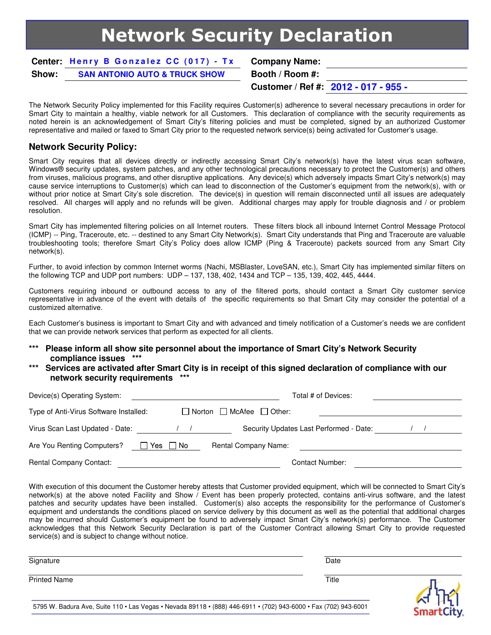## Network Security Declaration

**Center: Henry B Gonzalez CC (017) - Tx Company Name: Show: SAN ANTONIO AUTO & TRUCK SHOW Booth / Room #:** 

**Customer / Ref #: 2012 - 017 - 955 -** 

The Network Security Policy implemented for this Facility requires Customer(s) adherence to several necessary precautions in order for Smart City to maintain a healthy, viable network for all Customers. This declaration of compliance with the security requirements as noted herein is an acknowledgement of Smart City's filtering policies and must be completed, signed by an authorized Customer representative and mailed or faxed to Smart City prior to the requested network service(s) being activated for Customer's usage.

#### **Network Security Policy:**

Smart City requires that all devices directly or indirectly accessing Smart City's network(s) have the latest virus scan software, Windows® security updates, system patches, and any other technological precautions necessary to protect the Customer(s) and others from viruses, malicious programs, and other disruptive applications. Any device(s) which adversely impacts Smart City's network(s) may cause service interruptions to Customer(s) which can lead to disconnection of the Customer's equipment from the network(s), with or without prior notice at Smart City's sole discretion. The device(s) in question will remain disconnected until all issues are adequately resolved. All charges will apply and no refunds will be given. Additional charges may apply for trouble diagnosis and / or problem resolution.

Smart City has implemented filtering policies on all Internet routers. These filters block all inbound Internet Control Message Protocol (ICMP) -- Ping, Traceroute, etc. -- destined to any Smart City Network(s). Smart City understands that Ping and Traceroute are valuable troubleshooting tools; therefore Smart City's Policy does allow ICMP (Ping & Traceroute) packets sourced from any Smart City network(s).

Further, to avoid infection by common Internet worms (Nachi, MSBlaster, LoveSAN, etc.), Smart City has implemented similar filters on the following TCP and UDP port numbers: UDP – 137, 138, 402, 1434 and TCP – 135, 139, 402, 445, 4444.

Customers requiring inbound or outbound access to any of the filtered ports, should contact a Smart City customer service representative in advance of the event with details of the specific requirements so that Smart City may consider the potential of a customized alternative.

Each Customer's business is important to Smart City and with advanced and timely notification of a Customer's needs we are confident that we can provide network services that perform as expected for all clients.

- **\*\*\* Please inform all show site personnel about the importance of Smart City's Network Security compliance issues \*\*\***
- Services are activated after Smart City is in receipt of this signed declaration of compliance with our **network security requirements \*\*\***

| Device(s) Operating System:            |        | Total # of Devices:                       |  |
|----------------------------------------|--------|-------------------------------------------|--|
| Type of Anti-Virus Software Installed: |        | $\Box$ Norton $\Box$ McAfee $\Box$ Other: |  |
| Virus Scan Last Updated - Date:        |        | Security Updates Last Performed - Date:   |  |
| Are You Renting Computers?             | Yes No | <b>Rental Company Name:</b>               |  |
| <b>Rental Company Contact:</b>         |        | <b>Contact Number:</b>                    |  |

With execution of this document the Customer hereby attests that Customer provided equipment, which will be connected to Smart City's network(s) at the above noted Facility and Show / Event has been properly protected, contains anti-virus software, and the latest patches and security updates have been installed. Customer(s) also accepts the responsibility for the performance of Customer's equipment and understands the conditions placed on service delivery by this document as well as the potential that additional charges may be incurred should Customer's equipment be found to adversely impact Smart City's network(s) performance. The Customer acknowledges that this Network Security Declaration is part of the Customer Contract allowing Smart City to provide requested service(s) and is subject to change without notice.

| Signature           | Date  |  |
|---------------------|-------|--|
| <b>Printed Name</b> | Title |  |

5795 W. Badura Ave, Suite 110 • Las Vegas • Nevada 89118 • (888) 446-6911 • (702) 943-6000 • Fax (702) 943-6001